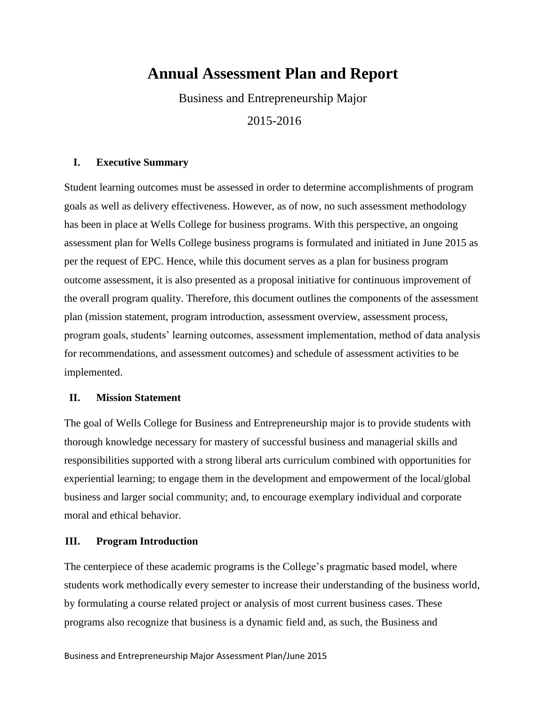# **Annual Assessment Plan and Report**

Business and Entrepreneurship Major 2015-2016

## **I. Executive Summary**

Student learning outcomes must be assessed in order to determine accomplishments of program goals as well as delivery effectiveness. However, as of now, no such assessment methodology has been in place at Wells College for business programs. With this perspective, an ongoing assessment plan for Wells College business programs is formulated and initiated in June 2015 as per the request of EPC. Hence, while this document serves as a plan for business program outcome assessment, it is also presented as a proposal initiative for continuous improvement of the overall program quality. Therefore, this document outlines the components of the assessment plan (mission statement, program introduction, assessment overview, assessment process, program goals, students' learning outcomes, assessment implementation, method of data analysis for recommendations, and assessment outcomes) and schedule of assessment activities to be implemented.

### **II. Mission Statement**

The goal of Wells College for Business and Entrepreneurship major is to provide students with thorough knowledge necessary for mastery of successful business and managerial skills and responsibilities supported with a strong liberal arts curriculum combined with opportunities for experiential learning; to engage them in the development and empowerment of the local/global business and larger social community; and, to encourage exemplary individual and corporate moral and ethical behavior.

# **III. Program Introduction**

The centerpiece of these academic programs is the College's pragmatic based model, where students work methodically every semester to increase their understanding of the business world, by formulating a course related project or analysis of most current business cases. These programs also recognize that business is a dynamic field and, as such, the Business and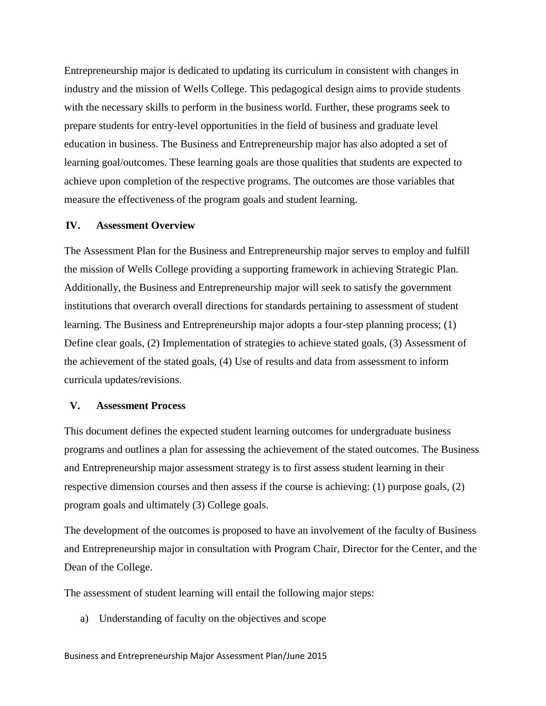Entrepreneurship major is dedicated to updating its curriculum in consistent with changes in industry and the mission of Wells College. This pedagogical design aims to provide students with the necessary skills to perform in the business world. Further, these programs seek to prepare students for entry-level opportunities in the field of business and graduate level education in business. The Business and Entrepreneurship major has also adopted a set of learning goal/outcomes. These learning goals are those qualities that students are expected to achieve upon completion of the respective programs. The outcomes are those variables that measure the effectiveness of the program goals and student learning.

#### **IV. Assessment Overview**

The Assessment Plan for the Business and Entrepreneurship major serves to employ and fulfill the mission of Wells College providing a supporting framework in achieving Strategic Plan. Additionally, the Business and Entrepreneurship major will seek to satisfy the government institutions that overarch overall directions for standards pertaining to assessment of student learning. The Business and Entrepreneurship major adopts a four-step planning process; (1) Define clear goals, (2) Implementation of strategies to achieve stated goals, (3) Assessment of the achievement of the stated goals, (4) Use of results and data from assessment to inform curricula updates/revisions.

### **V. Assessment Process**

This document defines the expected student learning outcomes for undergraduate business programs and outlines a plan for assessing the achievement of the stated outcomes. The Business and Entrepreneurship major assessment strategy is to first assess student learning in their respective dimension courses and then assess if the course is achieving: (1) purpose goals, (2) program goals and ultimately (3) College goals.

The development of the outcomes is proposed to have an involvement of the faculty of Business and Entrepreneurship major in consultation with Program Chair, Director for the Center, and the Dean of the College.

The assessment of student learning will entail the following major steps:

a) Understanding of faculty on the objectives and scope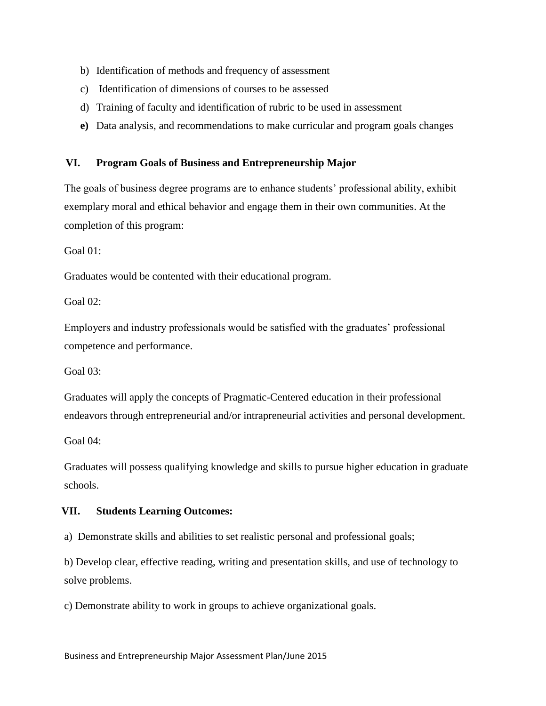- b) Identification of methods and frequency of assessment
- c) Identification of dimensions of courses to be assessed
- d) Training of faculty and identification of rubric to be used in assessment
- **e)** Data analysis, and recommendations to make curricular and program goals changes

# **VI. Program Goals of Business and Entrepreneurship Major**

The goals of business degree programs are to enhance students' professional ability, exhibit exemplary moral and ethical behavior and engage them in their own communities. At the completion of this program:

Goal 01:

Graduates would be contented with their educational program.

Goal 02:

Employers and industry professionals would be satisfied with the graduates' professional competence and performance.

Goal 03:

Graduates will apply the concepts of Pragmatic-Centered education in their professional endeavors through entrepreneurial and/or intrapreneurial activities and personal development.

Goal 04:

Graduates will possess qualifying knowledge and skills to pursue higher education in graduate schools.

### **VII. Students Learning Outcomes:**

a) Demonstrate skills and abilities to set realistic personal and professional goals;

b) Develop clear, effective reading, writing and presentation skills, and use of technology to solve problems.

c) Demonstrate ability to work in groups to achieve organizational goals.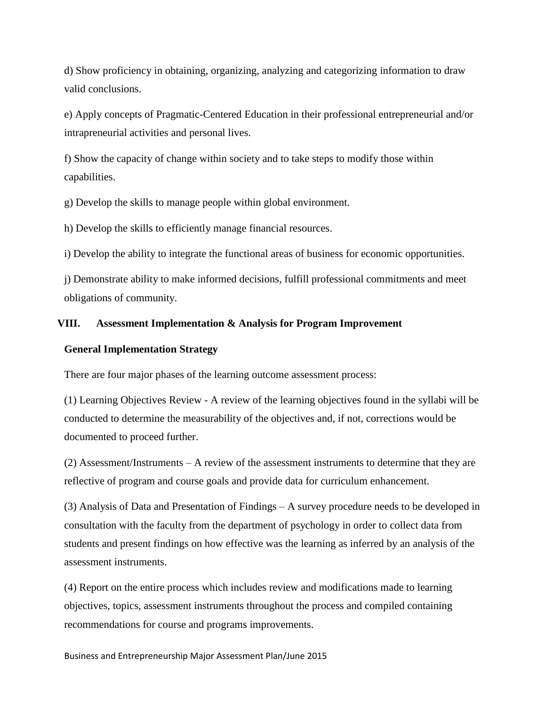d) Show proficiency in obtaining, organizing, analyzing and categorizing information to draw valid conclusions.

e) Apply concepts of Pragmatic-Centered Education in their professional entrepreneurial and/or intrapreneurial activities and personal lives.

f) Show the capacity of change within society and to take steps to modify those within capabilities.

g) Develop the skills to manage people within global environment.

h) Develop the skills to efficiently manage financial resources.

i) Develop the ability to integrate the functional areas of business for economic opportunities.

j) Demonstrate ability to make informed decisions, fulfill professional commitments and meet obligations of community.

# **VIII. Assessment Implementation & Analysis for Program Improvement**

### **General Implementation Strategy**

There are four major phases of the learning outcome assessment process:

(1) Learning Objectives Review - A review of the learning objectives found in the syllabi will be conducted to determine the measurability of the objectives and, if not, corrections would be documented to proceed further.

(2) Assessment/Instruments – A review of the assessment instruments to determine that they are reflective of program and course goals and provide data for curriculum enhancement.

(3) Analysis of Data and Presentation of Findings – A survey procedure needs to be developed in consultation with the faculty from the department of psychology in order to collect data from students and present findings on how effective was the learning as inferred by an analysis of the assessment instruments.

(4) Report on the entire process which includes review and modifications made to learning objectives, topics, assessment instruments throughout the process and compiled containing recommendations for course and programs improvements.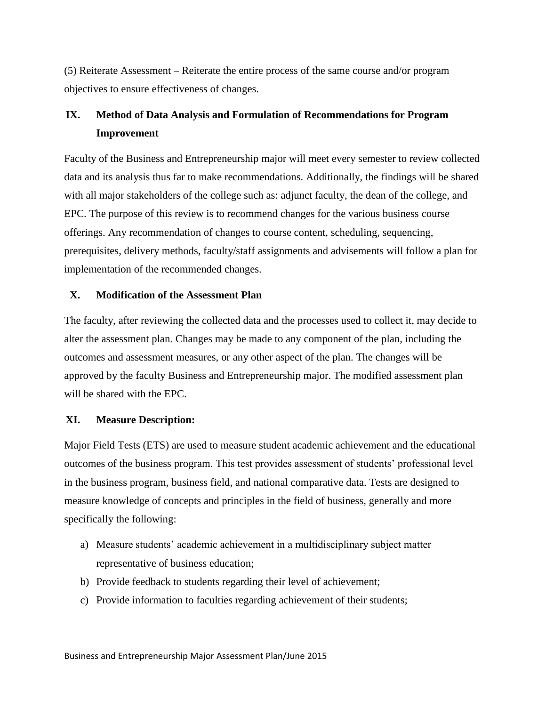(5) Reiterate Assessment – Reiterate the entire process of the same course and/or program objectives to ensure effectiveness of changes.

# **IX. Method of Data Analysis and Formulation of Recommendations for Program Improvement**

Faculty of the Business and Entrepreneurship major will meet every semester to review collected data and its analysis thus far to make recommendations. Additionally, the findings will be shared with all major stakeholders of the college such as: adjunct faculty, the dean of the college, and EPC. The purpose of this review is to recommend changes for the various business course offerings. Any recommendation of changes to course content, scheduling, sequencing, prerequisites, delivery methods, faculty/staff assignments and advisements will follow a plan for implementation of the recommended changes.

### **X. Modification of the Assessment Plan**

The faculty, after reviewing the collected data and the processes used to collect it, may decide to alter the assessment plan. Changes may be made to any component of the plan, including the outcomes and assessment measures, or any other aspect of the plan. The changes will be approved by the faculty Business and Entrepreneurship major. The modified assessment plan will be shared with the EPC.

### **XI. Measure Description:**

Major Field Tests (ETS) are used to measure student academic achievement and the educational outcomes of the business program. This test provides assessment of students' professional level in the business program, business field, and national comparative data. Tests are designed to measure knowledge of concepts and principles in the field of business, generally and more specifically the following:

- a) Measure students' academic achievement in a multidisciplinary subject matter representative of business education;
- b) Provide feedback to students regarding their level of achievement;
- c) Provide information to faculties regarding achievement of their students;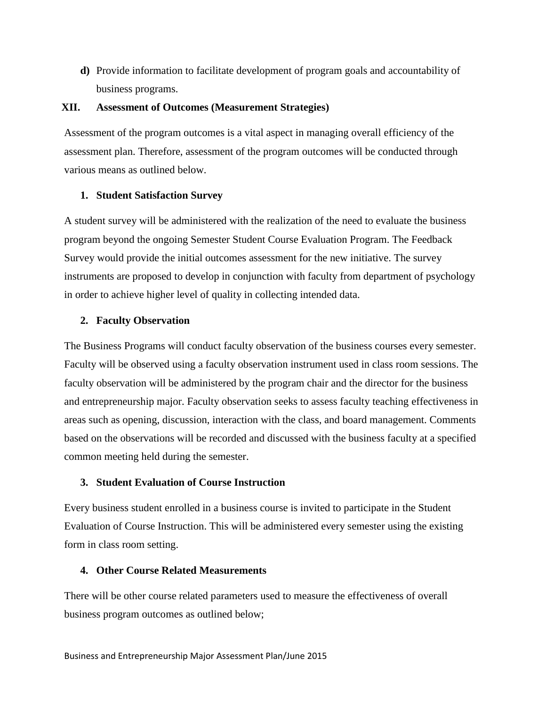**d)** Provide information to facilitate development of program goals and accountability of business programs.

### **XII. Assessment of Outcomes (Measurement Strategies)**

Assessment of the program outcomes is a vital aspect in managing overall efficiency of the assessment plan. Therefore, assessment of the program outcomes will be conducted through various means as outlined below.

### **1. Student Satisfaction Survey**

A student survey will be administered with the realization of the need to evaluate the business program beyond the ongoing Semester Student Course Evaluation Program. The Feedback Survey would provide the initial outcomes assessment for the new initiative. The survey instruments are proposed to develop in conjunction with faculty from department of psychology in order to achieve higher level of quality in collecting intended data.

# **2. Faculty Observation**

The Business Programs will conduct faculty observation of the business courses every semester. Faculty will be observed using a faculty observation instrument used in class room sessions. The faculty observation will be administered by the program chair and the director for the business and entrepreneurship major. Faculty observation seeks to assess faculty teaching effectiveness in areas such as opening, discussion, interaction with the class, and board management. Comments based on the observations will be recorded and discussed with the business faculty at a specified common meeting held during the semester.

# **3. Student Evaluation of Course Instruction**

Every business student enrolled in a business course is invited to participate in the Student Evaluation of Course Instruction. This will be administered every semester using the existing form in class room setting.

# **4. Other Course Related Measurements**

There will be other course related parameters used to measure the effectiveness of overall business program outcomes as outlined below;